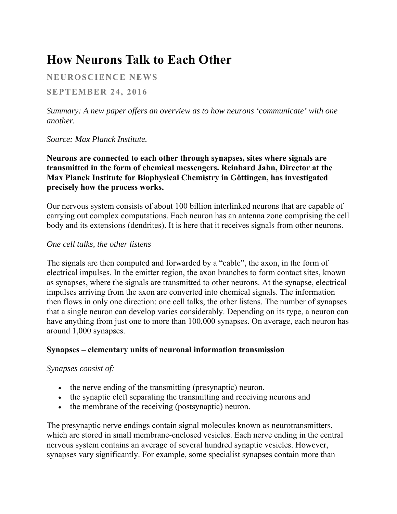# **How Neurons Talk to Each Other**

# **NEUROSCIENCE NEWS**

**SEPTEMBER 24, 2016** 

*Summary: A new paper offers an overview as to how neurons 'communicate' with one another.*

*Source: Max Planck Institute.*

**Neurons are connected to each other through synapses, sites where signals are transmitted in the form of chemical messengers. Reinhard Jahn, Director at the Max Planck Institute for Biophysical Chemistry in Göttingen, has investigated precisely how the process works.**

Our nervous system consists of about 100 billion interlinked neurons that are capable of carrying out complex computations. Each neuron has an antenna zone comprising the cell body and its extensions (dendrites). It is here that it receives signals from other neurons.

#### *One cell talks, the other listens*

The signals are then computed and forwarded by a "cable", the axon, in the form of electrical impulses. In the emitter region, the axon branches to form contact sites, known as synapses, where the signals are transmitted to other neurons. At the synapse, electrical impulses arriving from the axon are converted into chemical signals. The information then flows in only one direction: one cell talks, the other listens. The number of synapses that a single neuron can develop varies considerably. Depending on its type, a neuron can have anything from just one to more than 100,000 synapses. On average, each neuron has around 1,000 synapses.

## **Synapses – elementary units of neuronal information transmission**

#### *Synapses consist of:*

- the nerve ending of the transmitting (presynaptic) neuron,
- the synaptic cleft separating the transmitting and receiving neurons and
- the membrane of the receiving (postsynaptic) neuron.

The presynaptic nerve endings contain signal molecules known as neurotransmitters, which are stored in small membrane-enclosed vesicles. Each nerve ending in the central nervous system contains an average of several hundred synaptic vesicles. However, synapses vary significantly. For example, some specialist synapses contain more than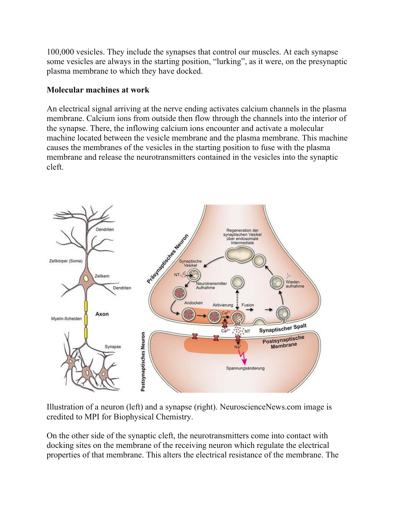100,000 vesicles. They include the synapses that control our muscles. At each synapse some vesicles are always in the starting position, "lurking", as it were, on the presynaptic plasma membrane to which they have docked.

### **Molecular machines at work**

An electrical signal arriving at the nerve ending activates calcium channels in the plasma membrane. Calcium ions from outside then flow through the channels into the interior of the synapse. There, the inflowing calcium ions encounter and activate a molecular machine located between the vesicle membrane and the plasma membrane. This machine causes the membranes of the vesicles in the starting position to fuse with the plasma membrane and release the neurotransmitters contained in the vesicles into the synaptic cleft.



Illustration of a neuron (left) and a synapse (right). NeuroscienceNews.com image is credited to MPI for Biophysical Chemistry.

On the other side of the synaptic cleft, the neurotransmitters come into contact with docking sites on the membrane of the receiving neuron which regulate the electrical properties of that membrane. This alters the electrical resistance of the membrane. The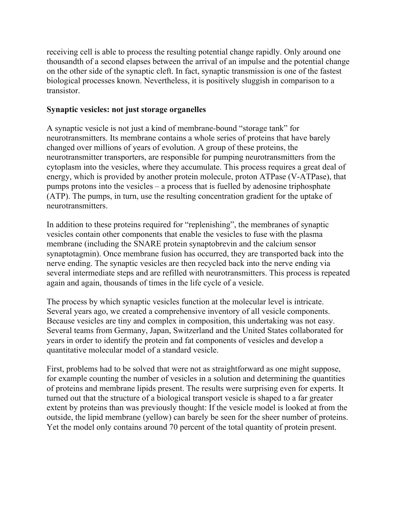receiving cell is able to process the resulting potential change rapidly. Only around one thousandth of a second elapses between the arrival of an impulse and the potential change on the other side of the synaptic cleft. In fact, synaptic transmission is one of the fastest biological processes known. Nevertheless, it is positively sluggish in comparison to a transistor.

# **Synaptic vesicles: not just storage organelles**

A synaptic vesicle is not just a kind of membrane-bound "storage tank" for neurotransmitters. Its membrane contains a whole series of proteins that have barely changed over millions of years of evolution. A group of these proteins, the neurotransmitter transporters, are responsible for pumping neurotransmitters from the cytoplasm into the vesicles, where they accumulate. This process requires a great deal of energy, which is provided by another protein molecule, proton ATPase (V-ATPase), that pumps protons into the vesicles – a process that is fuelled by adenosine triphosphate (ATP). The pumps, in turn, use the resulting concentration gradient for the uptake of neurotransmitters.

In addition to these proteins required for "replenishing", the membranes of synaptic vesicles contain other components that enable the vesicles to fuse with the plasma membrane (including the SNARE protein synaptobrevin and the calcium sensor synaptotagmin). Once membrane fusion has occurred, they are transported back into the nerve ending. The synaptic vesicles are then recycled back into the nerve ending via several intermediate steps and are refilled with neurotransmitters. This process is repeated again and again, thousands of times in the life cycle of a vesicle.

The process by which synaptic vesicles function at the molecular level is intricate. Several years ago, we created a comprehensive inventory of all vesicle components. Because vesicles are tiny and complex in composition, this undertaking was not easy. Several teams from Germany, Japan, Switzerland and the United States collaborated for years in order to identify the protein and fat components of vesicles and develop a quantitative molecular model of a standard vesicle.

First, problems had to be solved that were not as straightforward as one might suppose, for example counting the number of vesicles in a solution and determining the quantities of proteins and membrane lipids present. The results were surprising even for experts. It turned out that the structure of a biological transport vesicle is shaped to a far greater extent by proteins than was previously thought: If the vesicle model is looked at from the outside, the lipid membrane (yellow) can barely be seen for the sheer number of proteins. Yet the model only contains around 70 percent of the total quantity of protein present.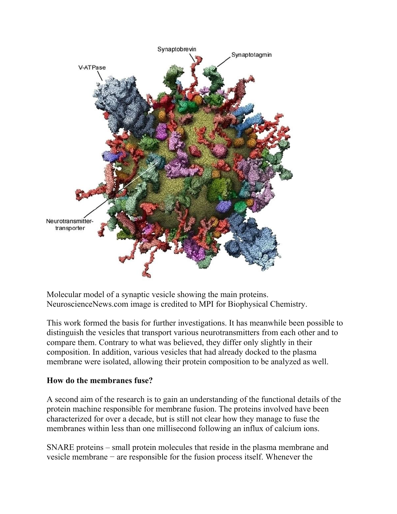

Molecular model of a synaptic vesicle showing the main proteins. NeuroscienceNews.com image is credited to MPI for Biophysical Chemistry.

This work formed the basis for further investigations. It has meanwhile been possible to distinguish the vesicles that transport various neurotransmitters from each other and to compare them. Contrary to what was believed, they differ only slightly in their composition. In addition, various vesicles that had already docked to the plasma membrane were isolated, allowing their protein composition to be analyzed as well.

## **How do the membranes fuse?**

A second aim of the research is to gain an understanding of the functional details of the protein machine responsible for membrane fusion. The proteins involved have been characterized for over a decade, but is still not clear how they manage to fuse the membranes within less than one millisecond following an influx of calcium ions.

SNARE proteins – small protein molecules that reside in the plasma membrane and vesicle membrane − are responsible for the fusion process itself. Whenever the